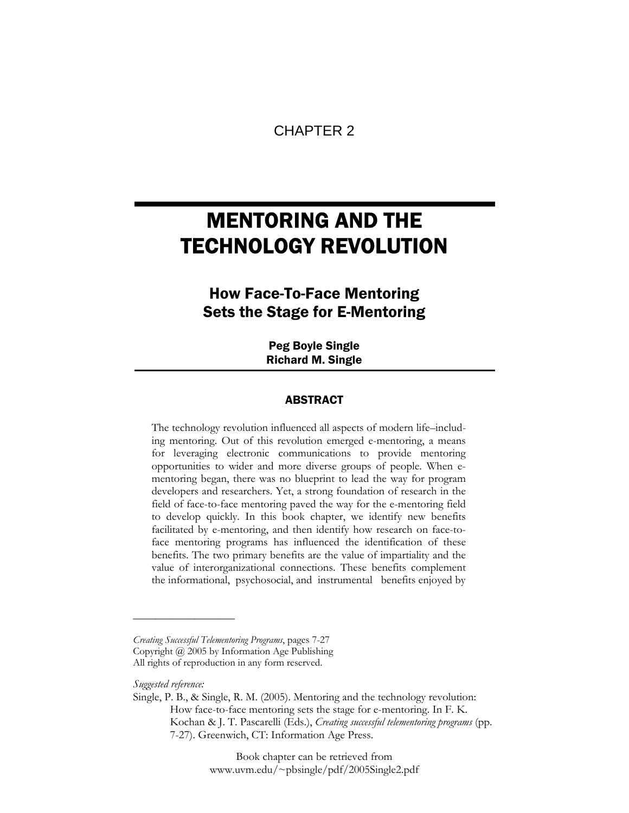# CHAPTER 2

# MENTORING AND THE TECHNOLOGY REVOLUTION

# How Face-To-Face Mentoring Sets the Stage for E-Mentoring

Peg Boyle Single Richard M. Single

# ABSTRACT

The technology revolution influenced all aspects of modern life–including mentoring. Out of this revolution emerged e-mentoring, a means for leveraging electronic communications to provide mentoring opportunities to wider and more diverse groups of people. When ementoring began, there was no blueprint to lead the way for program developers and researchers. Yet, a strong foundation of research in the field of face-to-face mentoring paved the way for the e-mentoring field to develop quickly. In this book chapter, we identify new benefits facilitated by e-mentoring, and then identify how research on face-toface mentoring programs has influenced the identification of these benefits. The two primary benefits are the value of impartiality and the value of interorganizational connections. These benefits complement the informational, psychosocial, and instrumental benefits enjoyed by

*Suggested reference:* 

**\_\_\_\_\_\_\_\_\_\_\_\_\_\_\_\_\_\_** 

Book chapter can be retrieved from www.uvm.edu/~pbsingle/pdf/2005Single2.pdf

*Creating Successful Telementoring Programs*, pages 7-27 Copyright @ 2005 by Information Age Publishing All rights of reproduction in any form reserved.

Single, P. B., & Single, R. M. (2005). Mentoring and the technology revolution: How face-to-face mentoring sets the stage for e-mentoring. In F. K. Kochan & J. T. Pascarelli (Eds.), *Creating successful telementoring programs* (pp. 7-27). Greenwich, CT: Information Age Press.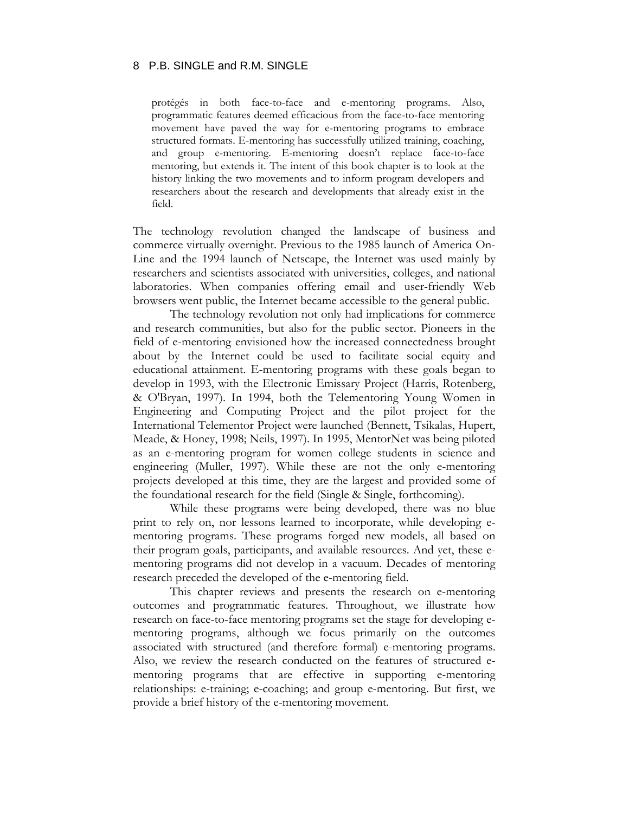protégés in both face-to-face and e-mentoring programs. Also, programmatic features deemed efficacious from the face-to-face mentoring movement have paved the way for e-mentoring programs to embrace structured formats. E-mentoring has successfully utilized training, coaching, and group e-mentoring. E-mentoring doesn't replace face-to-face mentoring, but extends it. The intent of this book chapter is to look at the history linking the two movements and to inform program developers and researchers about the research and developments that already exist in the field.

The technology revolution changed the landscape of business and commerce virtually overnight. Previous to the 1985 launch of America On-Line and the 1994 launch of Netscape, the Internet was used mainly by researchers and scientists associated with universities, colleges, and national laboratories. When companies offering email and user-friendly Web browsers went public, the Internet became accessible to the general public.

The technology revolution not only had implications for commerce and research communities, but also for the public sector. Pioneers in the field of e-mentoring envisioned how the increased connectedness brought about by the Internet could be used to facilitate social equity and educational attainment. E-mentoring programs with these goals began to develop in 1993, with the Electronic Emissary Project (Harris, Rotenberg, & O'Bryan, 1997). In 1994, both the Telementoring Young Women in Engineering and Computing Project and the pilot project for the International Telementor Project were launched (Bennett, Tsikalas, Hupert, Meade, & Honey, 1998; Neils, 1997). In 1995, MentorNet was being piloted as an e-mentoring program for women college students in science and engineering (Muller, 1997). While these are not the only e-mentoring projects developed at this time, they are the largest and provided some of the foundational research for the field (Single & Single, forthcoming).

While these programs were being developed, there was no blue print to rely on, nor lessons learned to incorporate, while developing ementoring programs. These programs forged new models, all based on their program goals, participants, and available resources. And yet, these ementoring programs did not develop in a vacuum. Decades of mentoring research preceded the developed of the e-mentoring field.

This chapter reviews and presents the research on e-mentoring outcomes and programmatic features. Throughout, we illustrate how research on face-to-face mentoring programs set the stage for developing ementoring programs, although we focus primarily on the outcomes associated with structured (and therefore formal) e-mentoring programs. Also, we review the research conducted on the features of structured ementoring programs that are effective in supporting e-mentoring relationships: e-training; e-coaching; and group e-mentoring. But first, we provide a brief history of the e-mentoring movement.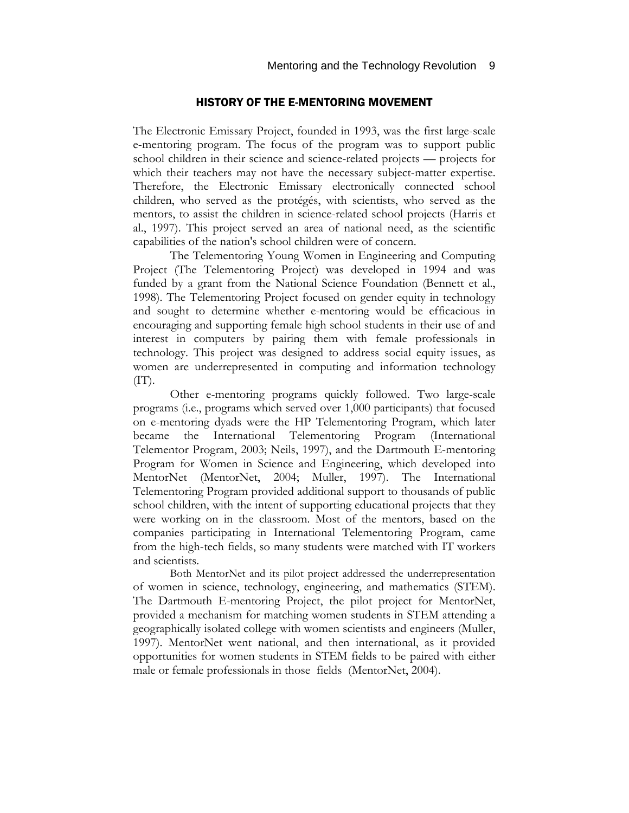# HISTORY OF THE E-MENTORING MOVEMENT

The Electronic Emissary Project, founded in 1993, was the first large-scale e-mentoring program. The focus of the program was to support public school children in their science and science-related projects — projects for which their teachers may not have the necessary subject-matter expertise. Therefore, the Electronic Emissary electronically connected school children, who served as the protégés, with scientists, who served as the mentors, to assist the children in science-related school projects (Harris et al., 1997). This project served an area of national need, as the scientific capabilities of the nation's school children were of concern.

The Telementoring Young Women in Engineering and Computing Project (The Telementoring Project) was developed in 1994 and was funded by a grant from the National Science Foundation (Bennett et al., 1998). The Telementoring Project focused on gender equity in technology and sought to determine whether e-mentoring would be efficacious in encouraging and supporting female high school students in their use of and interest in computers by pairing them with female professionals in technology. This project was designed to address social equity issues, as women are underrepresented in computing and information technology  $(TT)$ .

Other e-mentoring programs quickly followed. Two large-scale programs (i.e., programs which served over 1,000 participants) that focused on e-mentoring dyads were the HP Telementoring Program, which later became the International Telementoring Program (International Telementor Program, 2003; Neils, 1997), and the Dartmouth E-mentoring Program for Women in Science and Engineering, which developed into MentorNet (MentorNet, 2004; Muller, 1997). The International Telementoring Program provided additional support to thousands of public school children, with the intent of supporting educational projects that they were working on in the classroom. Most of the mentors, based on the companies participating in International Telementoring Program, came from the high-tech fields, so many students were matched with IT workers and scientists.

Both MentorNet and its pilot project addressed the underrepresentation of women in science, technology, engineering, and mathematics (STEM). The Dartmouth E-mentoring Project, the pilot project for MentorNet, provided a mechanism for matching women students in STEM attending a geographically isolated college with women scientists and engineers (Muller, 1997). MentorNet went national, and then international, as it provided opportunities for women students in STEM fields to be paired with either male or female professionals in those fields (MentorNet, 2004).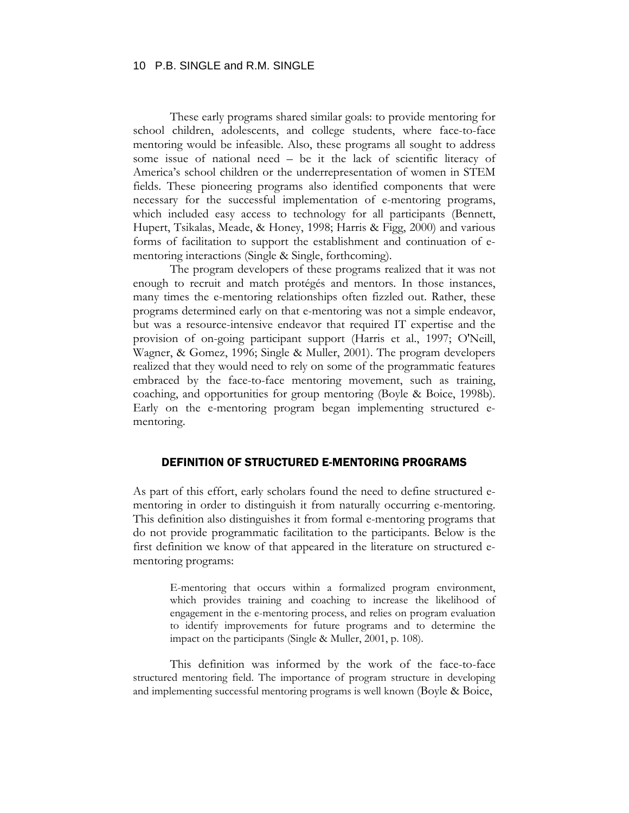These early programs shared similar goals: to provide mentoring for school children, adolescents, and college students, where face-to-face mentoring would be infeasible. Also, these programs all sought to address some issue of national need – be it the lack of scientific literacy of America's school children or the underrepresentation of women in STEM fields. These pioneering programs also identified components that were necessary for the successful implementation of e-mentoring programs, which included easy access to technology for all participants (Bennett, Hupert, Tsikalas, Meade, & Honey, 1998; Harris & Figg, 2000) and various forms of facilitation to support the establishment and continuation of ementoring interactions (Single & Single, forthcoming).

The program developers of these programs realized that it was not enough to recruit and match protégés and mentors. In those instances, many times the e-mentoring relationships often fizzled out. Rather, these programs determined early on that e-mentoring was not a simple endeavor, but was a resource-intensive endeavor that required IT expertise and the provision of on-going participant support (Harris et al., 1997; O'Neill, Wagner, & Gomez, 1996; Single & Muller, 2001). The program developers realized that they would need to rely on some of the programmatic features embraced by the face-to-face mentoring movement, such as training, coaching, and opportunities for group mentoring (Boyle & Boice, 1998b). Early on the e-mentoring program began implementing structured ementoring.

# DEFINITION OF STRUCTURED E-MENTORING PROGRAMS

As part of this effort, early scholars found the need to define structured ementoring in order to distinguish it from naturally occurring e-mentoring. This definition also distinguishes it from formal e-mentoring programs that do not provide programmatic facilitation to the participants. Below is the first definition we know of that appeared in the literature on structured ementoring programs:

> E-mentoring that occurs within a formalized program environment, which provides training and coaching to increase the likelihood of engagement in the e-mentoring process, and relies on program evaluation to identify improvements for future programs and to determine the impact on the participants (Single & Muller, 2001, p. 108).

This definition was informed by the work of the face-to-face structured mentoring field. The importance of program structure in developing and implementing successful mentoring programs is well known (Boyle & Boice,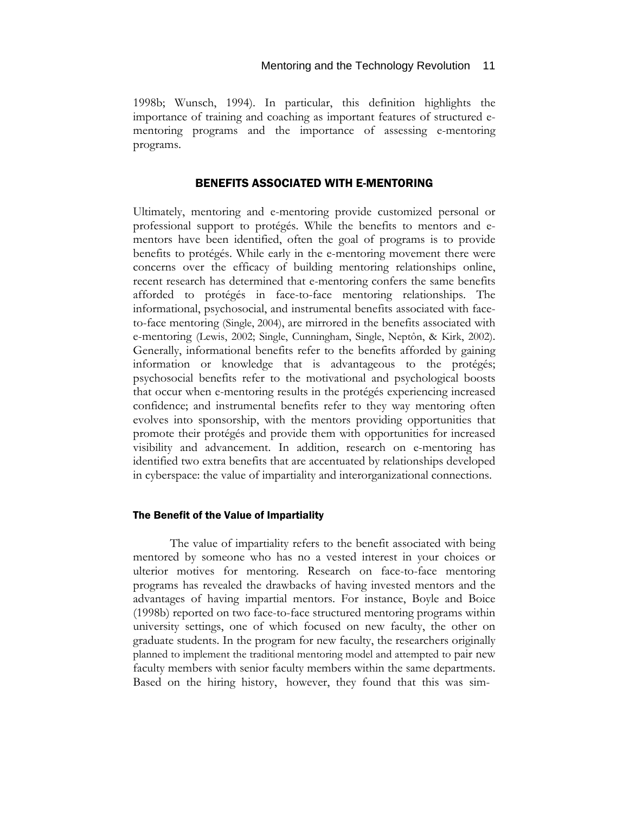1998b; Wunsch, 1994). In particular, this definition highlights the importance of training and coaching as important features of structured ementoring programs and the importance of assessing e-mentoring programs.

# BENEFITS ASSOCIATED WITH E-MENTORING

Ultimately, mentoring and e-mentoring provide customized personal or professional support to protégés. While the benefits to mentors and ementors have been identified, often the goal of programs is to provide benefits to protégés. While early in the e-mentoring movement there were concerns over the efficacy of building mentoring relationships online, recent research has determined that e-mentoring confers the same benefits afforded to protégés in face-to-face mentoring relationships. The informational, psychosocial, and instrumental benefits associated with faceto-face mentoring (Single, 2004), are mirrored in the benefits associated with e-mentoring (Lewis, 2002; Single, Cunningham, Single, Neptôn, & Kirk, 2002). Generally, informational benefits refer to the benefits afforded by gaining information or knowledge that is advantageous to the protégés; psychosocial benefits refer to the motivational and psychological boosts that occur when e-mentoring results in the protégés experiencing increased confidence; and instrumental benefits refer to they way mentoring often evolves into sponsorship, with the mentors providing opportunities that promote their protégés and provide them with opportunities for increased visibility and advancement. In addition, research on e-mentoring has identified two extra benefits that are accentuated by relationships developed in cyberspace: the value of impartiality and interorganizational connections.

#### The Benefit of the Value of Impartiality

The value of impartiality refers to the benefit associated with being mentored by someone who has no a vested interest in your choices or ulterior motives for mentoring. Research on face-to-face mentoring programs has revealed the drawbacks of having invested mentors and the advantages of having impartial mentors. For instance, Boyle and Boice (1998b) reported on two face-to-face structured mentoring programs within university settings, one of which focused on new faculty, the other on graduate students. In the program for new faculty, the researchers originally planned to implement the traditional mentoring model and attempted to pair new faculty members with senior faculty members within the same departments. Based on the hiring history, however, they found that this was sim-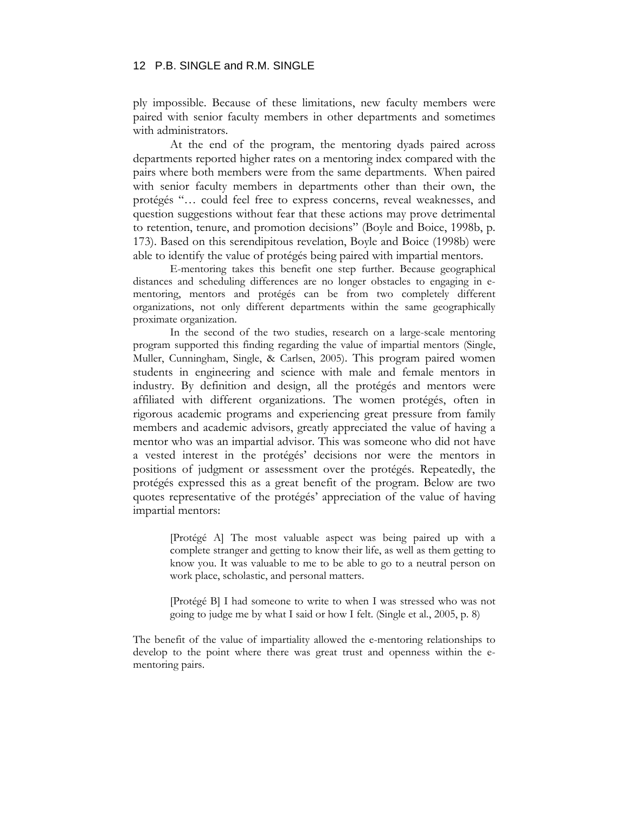ply impossible. Because of these limitations, new faculty members were paired with senior faculty members in other departments and sometimes with administrators.

At the end of the program, the mentoring dyads paired across departments reported higher rates on a mentoring index compared with the pairs where both members were from the same departments. When paired with senior faculty members in departments other than their own, the protégés "… could feel free to express concerns, reveal weaknesses, and question suggestions without fear that these actions may prove detrimental to retention, tenure, and promotion decisions" (Boyle and Boice, 1998b, p. 173). Based on this serendipitous revelation, Boyle and Boice (1998b) were able to identify the value of protégés being paired with impartial mentors.

E-mentoring takes this benefit one step further. Because geographical distances and scheduling differences are no longer obstacles to engaging in ementoring, mentors and protégés can be from two completely different organizations, not only different departments within the same geographically proximate organization.

In the second of the two studies, research on a large-scale mentoring program supported this finding regarding the value of impartial mentors (Single, Muller, Cunningham, Single, & Carlsen, 2005). This program paired women students in engineering and science with male and female mentors in industry. By definition and design, all the protégés and mentors were affiliated with different organizations. The women protégés, often in rigorous academic programs and experiencing great pressure from family members and academic advisors, greatly appreciated the value of having a mentor who was an impartial advisor. This was someone who did not have a vested interest in the protégés' decisions nor were the mentors in positions of judgment or assessment over the protégés. Repeatedly, the protégés expressed this as a great benefit of the program. Below are two quotes representative of the protégés' appreciation of the value of having impartial mentors:

> [Protégé A] The most valuable aspect was being paired up with a complete stranger and getting to know their life, as well as them getting to know you. It was valuable to me to be able to go to a neutral person on work place, scholastic, and personal matters.

> [Protégé B] I had someone to write to when I was stressed who was not going to judge me by what I said or how I felt. (Single et al., 2005, p. 8)

The benefit of the value of impartiality allowed the e-mentoring relationships to develop to the point where there was great trust and openness within the ementoring pairs.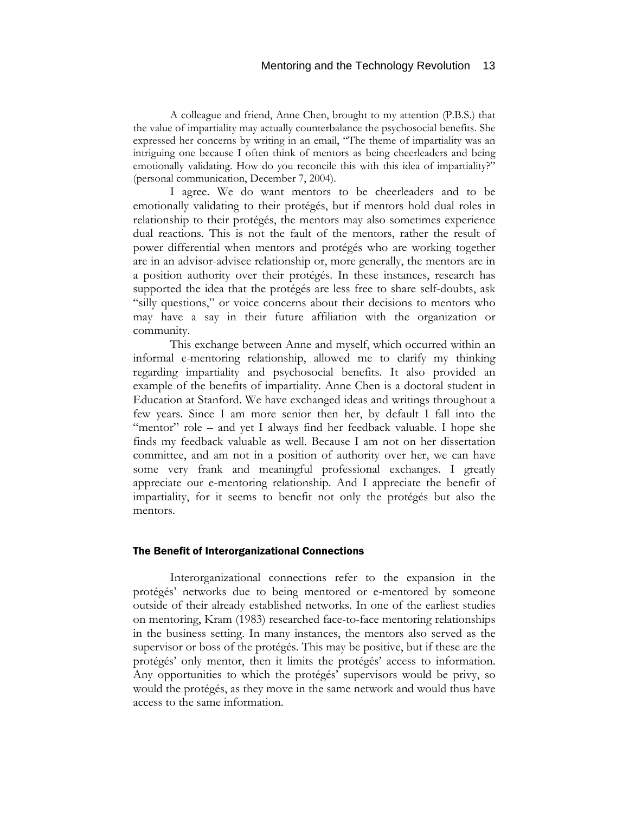A colleague and friend, Anne Chen, brought to my attention (P.B.S.) that the value of impartiality may actually counterbalance the psychosocial benefits. She expressed her concerns by writing in an email, "The theme of impartiality was an intriguing one because I often think of mentors as being cheerleaders and being emotionally validating. How do you reconcile this with this idea of impartiality?" (personal communication, December 7, 2004).

I agree. We do want mentors to be cheerleaders and to be emotionally validating to their protégés, but if mentors hold dual roles in relationship to their protégés, the mentors may also sometimes experience dual reactions. This is not the fault of the mentors, rather the result of power differential when mentors and protégés who are working together are in an advisor-advisee relationship or, more generally, the mentors are in a position authority over their protégés. In these instances, research has supported the idea that the protégés are less free to share self-doubts, ask "silly questions," or voice concerns about their decisions to mentors who may have a say in their future affiliation with the organization or community.

This exchange between Anne and myself, which occurred within an informal e-mentoring relationship, allowed me to clarify my thinking regarding impartiality and psychosocial benefits. It also provided an example of the benefits of impartiality. Anne Chen is a doctoral student in Education at Stanford. We have exchanged ideas and writings throughout a few years. Since I am more senior then her, by default I fall into the "mentor" role – and yet I always find her feedback valuable. I hope she finds my feedback valuable as well. Because I am not on her dissertation committee, and am not in a position of authority over her, we can have some very frank and meaningful professional exchanges. I greatly appreciate our e-mentoring relationship. And I appreciate the benefit of impartiality, for it seems to benefit not only the protégés but also the mentors.

#### The Benefit of Interorganizational Connections

Interorganizational connections refer to the expansion in the protégés' networks due to being mentored or e-mentored by someone outside of their already established networks. In one of the earliest studies on mentoring, Kram (1983) researched face-to-face mentoring relationships in the business setting. In many instances, the mentors also served as the supervisor or boss of the protégés. This may be positive, but if these are the protégés' only mentor, then it limits the protégés' access to information. Any opportunities to which the protégés' supervisors would be privy, so would the protégés, as they move in the same network and would thus have access to the same information.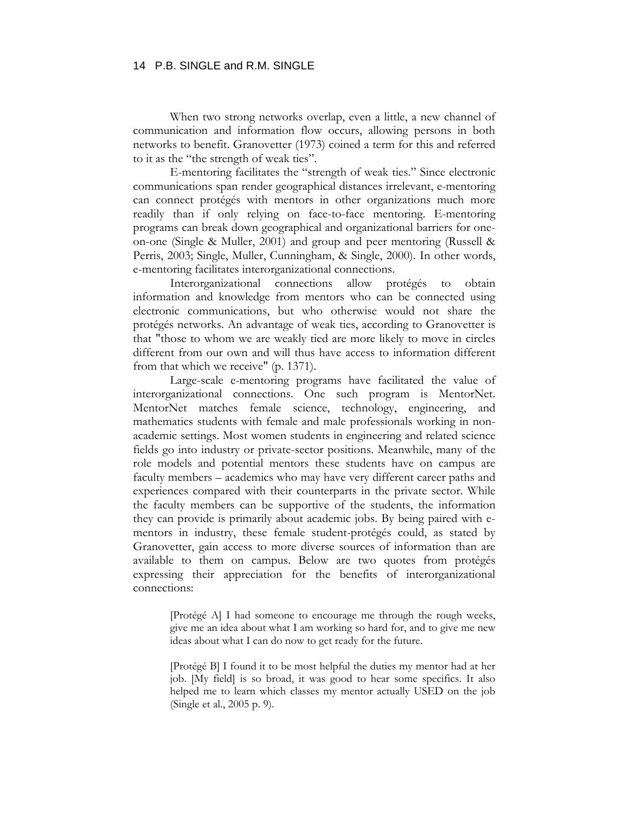When two strong networks overlap, even a little, a new channel of communication and information flow occurs, allowing persons in both networks to benefit. Granovetter (1973) coined a term for this and referred to it as the "the strength of weak ties".

E-mentoring facilitates the "strength of weak ties." Since electronic communications span render geographical distances irrelevant, e-mentoring can connect protégés with mentors in other organizations much more readily than if only relying on face-to-face mentoring. E-mentoring programs can break down geographical and organizational barriers for oneon-one (Single & Muller, 2001) and group and peer mentoring (Russell & Perris, 2003; Single, Muller, Cunningham, & Single, 2000). In other words, e-mentoring facilitates interorganizational connections.

Interorganizational connections allow protégés to obtain information and knowledge from mentors who can be connected using electronic communications, but who otherwise would not share the protégés networks. An advantage of weak ties, according to Granovetter is that "those to whom we are weakly tied are more likely to move in circles different from our own and will thus have access to information different from that which we receive" (p. 1371).

Large-scale e-mentoring programs have facilitated the value of interorganizational connections. One such program is MentorNet. MentorNet matches female science, technology, engineering, and mathematics students with female and male professionals working in nonacademic settings. Most women students in engineering and related science fields go into industry or private-sector positions. Meanwhile, many of the role models and potential mentors these students have on campus are faculty members – academics who may have very different career paths and experiences compared with their counterparts in the private sector. While the faculty members can be supportive of the students, the information they can provide is primarily about academic jobs. By being paired with ementors in industry, these female student-protégés could, as stated by Granovetter, gain access to more diverse sources of information than are available to them on campus. Below are two quotes from protégés expressing their appreciation for the benefits of interorganizational connections:

> [Protégé A] I had someone to encourage me through the rough weeks, give me an idea about what I am working so hard for, and to give me new ideas about what I can do now to get ready for the future.

> [Protégé B] I found it to be most helpful the duties my mentor had at her job. [My field] is so broad, it was good to hear some specifics. It also helped me to learn which classes my mentor actually USED on the job (Single et al., 2005 p. 9).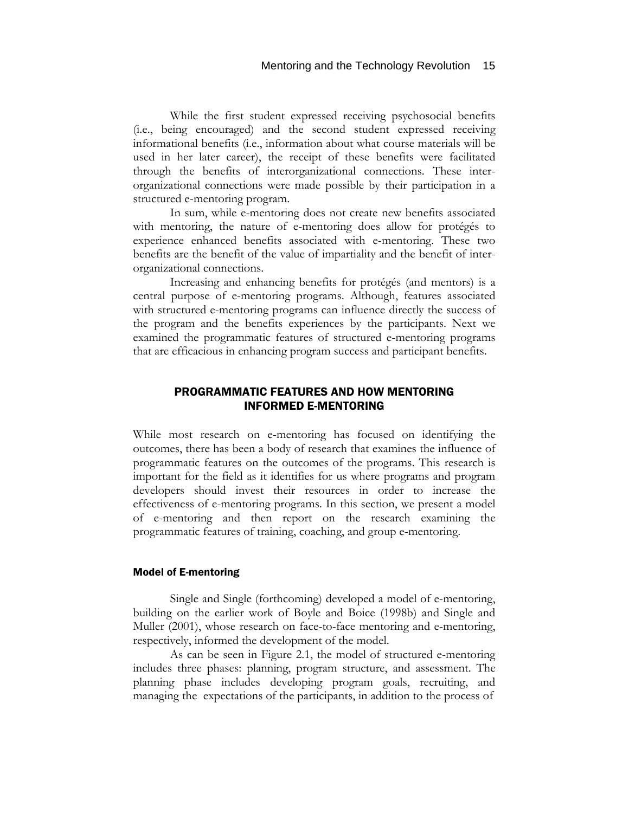While the first student expressed receiving psychosocial benefits (i.e., being encouraged) and the second student expressed receiving informational benefits (i.e., information about what course materials will be used in her later career), the receipt of these benefits were facilitated through the benefits of interorganizational connections. These interorganizational connections were made possible by their participation in a structured e-mentoring program.

In sum, while e-mentoring does not create new benefits associated with mentoring, the nature of e-mentoring does allow for protégés to experience enhanced benefits associated with e-mentoring. These two benefits are the benefit of the value of impartiality and the benefit of interorganizational connections.

Increasing and enhancing benefits for protégés (and mentors) is a central purpose of e-mentoring programs. Although, features associated with structured e-mentoring programs can influence directly the success of the program and the benefits experiences by the participants. Next we examined the programmatic features of structured e-mentoring programs that are efficacious in enhancing program success and participant benefits.

# PROGRAMMATIC FEATURES AND HOW MENTORING INFORMED E-MENTORING

While most research on e-mentoring has focused on identifying the outcomes, there has been a body of research that examines the influence of programmatic features on the outcomes of the programs. This research is important for the field as it identifies for us where programs and program developers should invest their resources in order to increase the effectiveness of e-mentoring programs. In this section, we present a model of e-mentoring and then report on the research examining the programmatic features of training, coaching, and group e-mentoring.

#### Model of E-mentoring

Single and Single (forthcoming) developed a model of e-mentoring, building on the earlier work of Boyle and Boice (1998b) and Single and Muller (2001), whose research on face-to-face mentoring and e-mentoring, respectively, informed the development of the model.

As can be seen in Figure 2.1, the model of structured e-mentoring includes three phases: planning, program structure, and assessment. The planning phase includes developing program goals, recruiting, and managing the expectations of the participants, in addition to the process of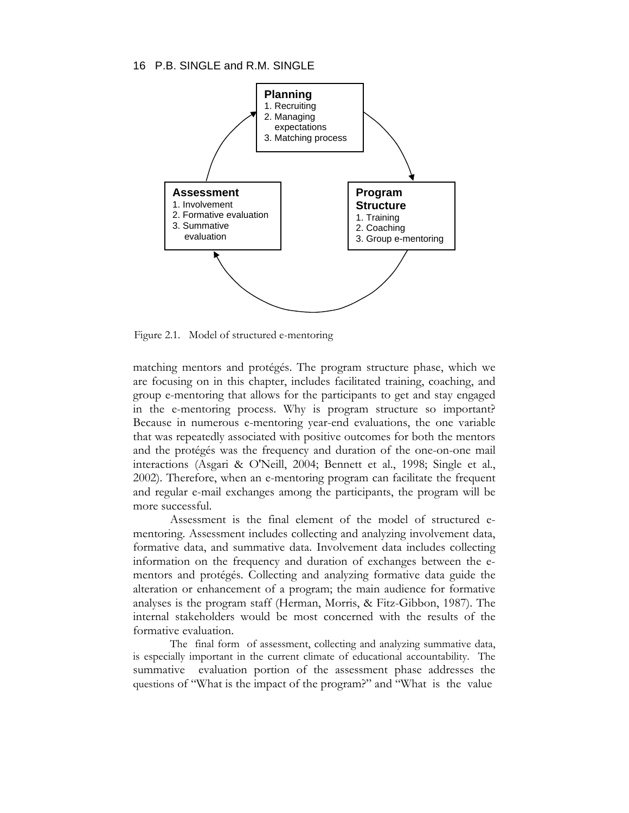

Figure 2.1. Model of structured e-mentoring

matching mentors and protégés. The program structure phase, which we are focusing on in this chapter, includes facilitated training, coaching, and group e-mentoring that allows for the participants to get and stay engaged in the e-mentoring process. Why is program structure so important? Because in numerous e-mentoring year-end evaluations, the one variable that was repeatedly associated with positive outcomes for both the mentors and the protégés was the frequency and duration of the one-on-one mail interactions (Asgari & O'Neill, 2004; Bennett et al., 1998; Single et al., 2002). Therefore, when an e-mentoring program can facilitate the frequent and regular e-mail exchanges among the participants, the program will be more successful.

Assessment is the final element of the model of structured ementoring. Assessment includes collecting and analyzing involvement data, formative data, and summative data. Involvement data includes collecting information on the frequency and duration of exchanges between the ementors and protégés. Collecting and analyzing formative data guide the alteration or enhancement of a program; the main audience for formative analyses is the program staff (Herman, Morris, & Fitz-Gibbon, 1987). The internal stakeholders would be most concerned with the results of the formative evaluation.

The final form of assessment, collecting and analyzing summative data, is especially important in the current climate of educational accountability. The summative evaluation portion of the assessment phase addresses the questions of "What is the impact of the program?" and "What is the value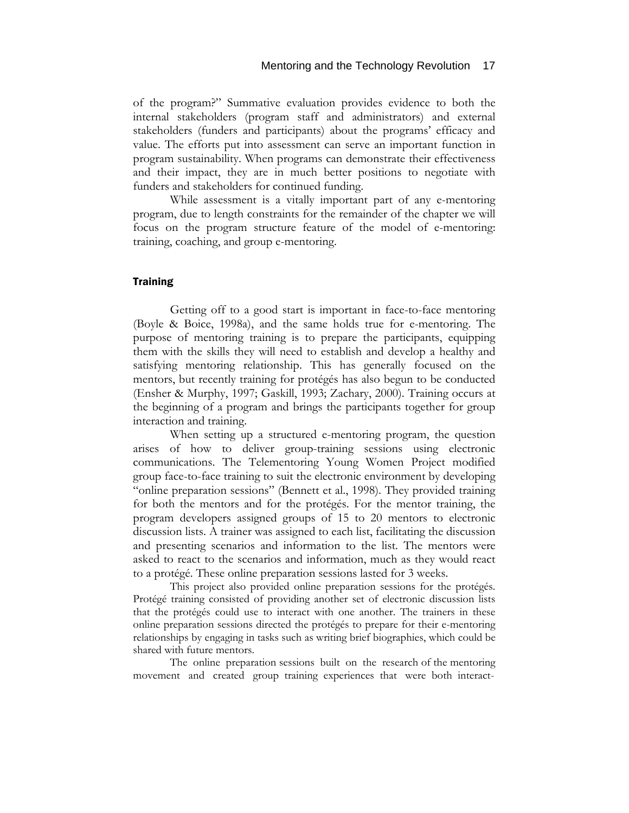of the program?" Summative evaluation provides evidence to both the internal stakeholders (program staff and administrators) and external stakeholders (funders and participants) about the programs' efficacy and value. The efforts put into assessment can serve an important function in program sustainability. When programs can demonstrate their effectiveness and their impact, they are in much better positions to negotiate with funders and stakeholders for continued funding.

While assessment is a vitally important part of any e-mentoring program, due to length constraints for the remainder of the chapter we will focus on the program structure feature of the model of e-mentoring: training, coaching, and group e-mentoring.

#### **Training**

Getting off to a good start is important in face-to-face mentoring (Boyle & Boice, 1998a), and the same holds true for e-mentoring. The purpose of mentoring training is to prepare the participants, equipping them with the skills they will need to establish and develop a healthy and satisfying mentoring relationship. This has generally focused on the mentors, but recently training for protégés has also begun to be conducted (Ensher & Murphy, 1997; Gaskill, 1993; Zachary, 2000). Training occurs at the beginning of a program and brings the participants together for group interaction and training.

When setting up a structured e-mentoring program, the question arises of how to deliver group-training sessions using electronic communications. The Telementoring Young Women Project modified group face-to-face training to suit the electronic environment by developing "online preparation sessions" (Bennett et al., 1998). They provided training for both the mentors and for the protégés. For the mentor training, the program developers assigned groups of 15 to 20 mentors to electronic discussion lists. A trainer was assigned to each list, facilitating the discussion and presenting scenarios and information to the list. The mentors were asked to react to the scenarios and information, much as they would react to a protégé. These online preparation sessions lasted for 3 weeks.

This project also provided online preparation sessions for the protégés. Protégé training consisted of providing another set of electronic discussion lists that the protégés could use to interact with one another. The trainers in these online preparation sessions directed the protégés to prepare for their e-mentoring relationships by engaging in tasks such as writing brief biographies, which could be shared with future mentors.

The online preparation sessions built on the research of the mentoring movement and created group training experiences that were both interact-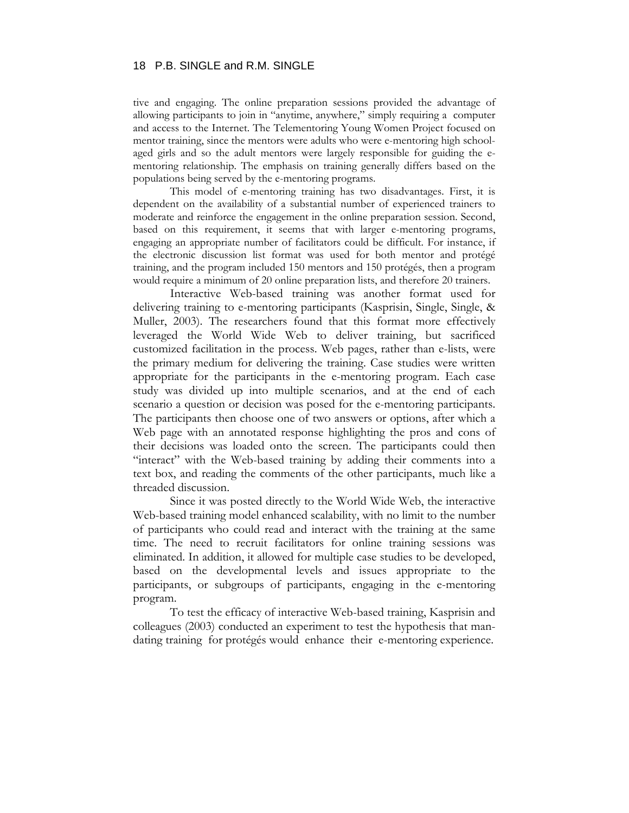tive and engaging. The online preparation sessions provided the advantage of allowing participants to join in "anytime, anywhere," simply requiring a computer and access to the Internet. The Telementoring Young Women Project focused on mentor training, since the mentors were adults who were e-mentoring high schoolaged girls and so the adult mentors were largely responsible for guiding the ementoring relationship. The emphasis on training generally differs based on the populations being served by the e-mentoring programs.

This model of e-mentoring training has two disadvantages. First, it is dependent on the availability of a substantial number of experienced trainers to moderate and reinforce the engagement in the online preparation session. Second, based on this requirement, it seems that with larger e-mentoring programs, engaging an appropriate number of facilitators could be difficult. For instance, if the electronic discussion list format was used for both mentor and protégé training, and the program included 150 mentors and 150 protégés, then a program would require a minimum of 20 online preparation lists, and therefore 20 trainers.

Interactive Web-based training was another format used for delivering training to e-mentoring participants (Kasprisin, Single, Single, & Muller, 2003). The researchers found that this format more effectively leveraged the World Wide Web to deliver training, but sacrificed customized facilitation in the process. Web pages, rather than e-lists, were the primary medium for delivering the training. Case studies were written appropriate for the participants in the e-mentoring program. Each case study was divided up into multiple scenarios, and at the end of each scenario a question or decision was posed for the e-mentoring participants. The participants then choose one of two answers or options, after which a Web page with an annotated response highlighting the pros and cons of their decisions was loaded onto the screen. The participants could then "interact" with the Web-based training by adding their comments into a text box, and reading the comments of the other participants, much like a threaded discussion.

Since it was posted directly to the World Wide Web, the interactive Web-based training model enhanced scalability, with no limit to the number of participants who could read and interact with the training at the same time. The need to recruit facilitators for online training sessions was eliminated. In addition, it allowed for multiple case studies to be developed, based on the developmental levels and issues appropriate to the participants, or subgroups of participants, engaging in the e-mentoring program.

To test the efficacy of interactive Web-based training, Kasprisin and colleagues (2003) conducted an experiment to test the hypothesis that mandating training for protégés would enhance their e-mentoring experience.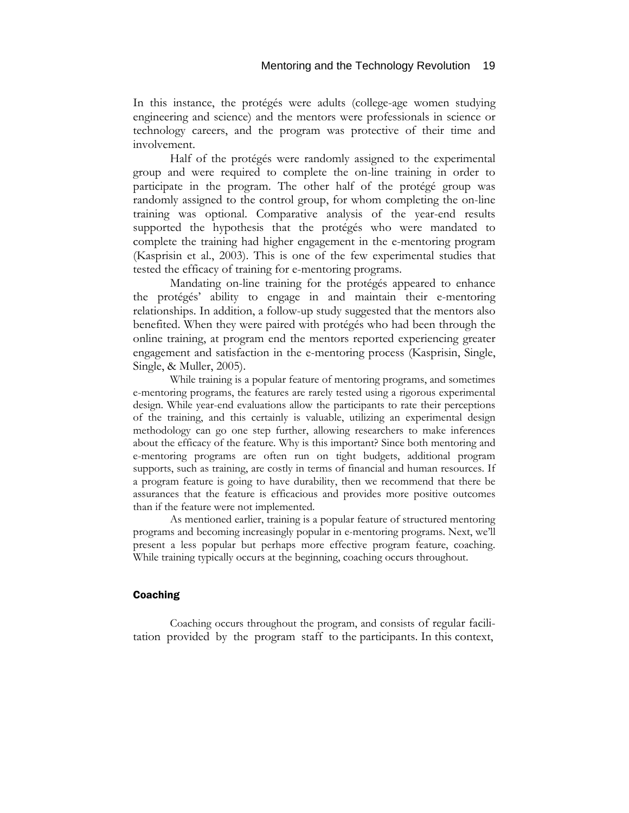In this instance, the protégés were adults (college-age women studying engineering and science) and the mentors were professionals in science or technology careers, and the program was protective of their time and involvement.

Half of the protégés were randomly assigned to the experimental group and were required to complete the on-line training in order to participate in the program. The other half of the protégé group was randomly assigned to the control group, for whom completing the on-line training was optional. Comparative analysis of the year-end results supported the hypothesis that the protégés who were mandated to complete the training had higher engagement in the e-mentoring program (Kasprisin et al., 2003). This is one of the few experimental studies that tested the efficacy of training for e-mentoring programs.

Mandating on-line training for the protégés appeared to enhance the protégés' ability to engage in and maintain their e-mentoring relationships. In addition, a follow-up study suggested that the mentors also benefited. When they were paired with protégés who had been through the online training, at program end the mentors reported experiencing greater engagement and satisfaction in the e-mentoring process (Kasprisin, Single, Single, & Muller, 2005).

While training is a popular feature of mentoring programs, and sometimes e-mentoring programs, the features are rarely tested using a rigorous experimental design. While year-end evaluations allow the participants to rate their perceptions of the training, and this certainly is valuable, utilizing an experimental design methodology can go one step further, allowing researchers to make inferences about the efficacy of the feature. Why is this important? Since both mentoring and e-mentoring programs are often run on tight budgets, additional program supports, such as training, are costly in terms of financial and human resources. If a program feature is going to have durability, then we recommend that there be assurances that the feature is efficacious and provides more positive outcomes than if the feature were not implemented.

As mentioned earlier, training is a popular feature of structured mentoring programs and becoming increasingly popular in e-mentoring programs. Next, we'll present a less popular but perhaps more effective program feature, coaching. While training typically occurs at the beginning, coaching occurs throughout.

#### Coaching

Coaching occurs throughout the program, and consists of regular facilitation provided by the program staff to the participants. In this context,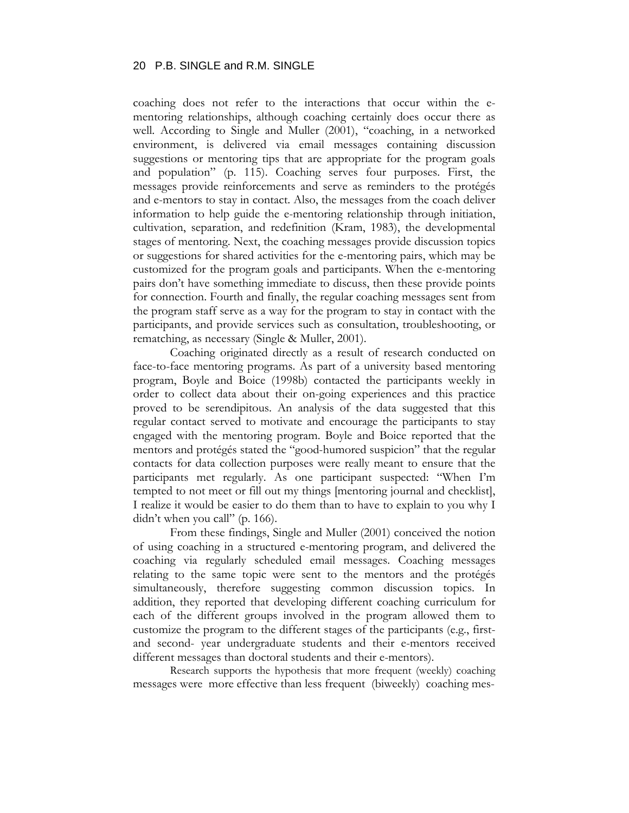coaching does not refer to the interactions that occur within the ementoring relationships, although coaching certainly does occur there as well. According to Single and Muller (2001), "coaching, in a networked environment, is delivered via email messages containing discussion suggestions or mentoring tips that are appropriate for the program goals and population" (p. 115). Coaching serves four purposes. First, the messages provide reinforcements and serve as reminders to the protégés and e-mentors to stay in contact. Also, the messages from the coach deliver information to help guide the e-mentoring relationship through initiation, cultivation, separation, and redefinition (Kram, 1983), the developmental stages of mentoring. Next, the coaching messages provide discussion topics or suggestions for shared activities for the e-mentoring pairs, which may be customized for the program goals and participants. When the e-mentoring pairs don't have something immediate to discuss, then these provide points for connection. Fourth and finally, the regular coaching messages sent from the program staff serve as a way for the program to stay in contact with the participants, and provide services such as consultation, troubleshooting, or rematching, as necessary (Single & Muller, 2001).

Coaching originated directly as a result of research conducted on face-to-face mentoring programs. As part of a university based mentoring program, Boyle and Boice (1998b) contacted the participants weekly in order to collect data about their on-going experiences and this practice proved to be serendipitous. An analysis of the data suggested that this regular contact served to motivate and encourage the participants to stay engaged with the mentoring program. Boyle and Boice reported that the mentors and protégés stated the "good-humored suspicion" that the regular contacts for data collection purposes were really meant to ensure that the participants met regularly. As one participant suspected: "When I'm tempted to not meet or fill out my things [mentoring journal and checklist], I realize it would be easier to do them than to have to explain to you why I didn't when you call" (p. 166).

From these findings, Single and Muller (2001) conceived the notion of using coaching in a structured e-mentoring program, and delivered the coaching via regularly scheduled email messages. Coaching messages relating to the same topic were sent to the mentors and the protégés simultaneously, therefore suggesting common discussion topics. In addition, they reported that developing different coaching curriculum for each of the different groups involved in the program allowed them to customize the program to the different stages of the participants (e.g., firstand second- year undergraduate students and their e-mentors received different messages than doctoral students and their e-mentors).

Research supports the hypothesis that more frequent (weekly) coaching messages were more effective than less frequent (biweekly) coaching mes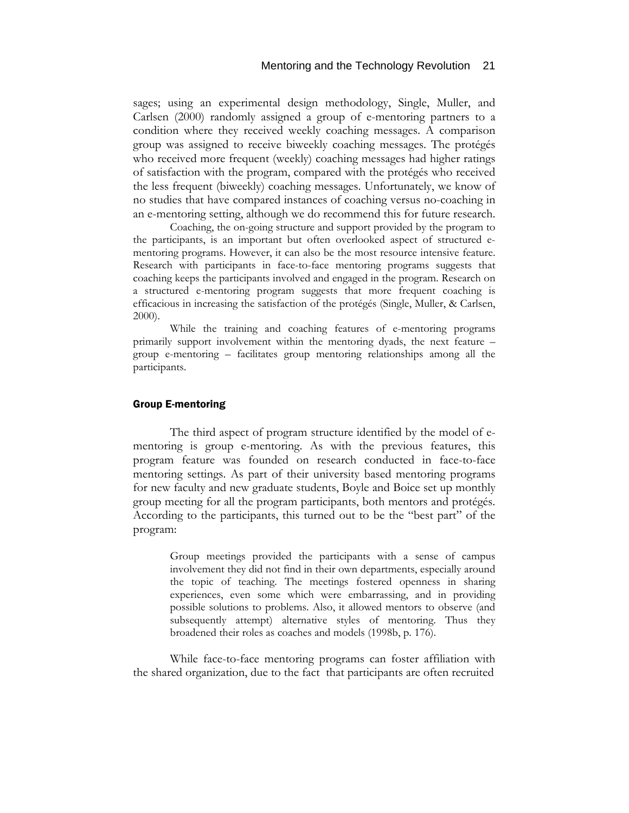sages; using an experimental design methodology, Single, Muller, and Carlsen (2000) randomly assigned a group of e-mentoring partners to a condition where they received weekly coaching messages. A comparison group was assigned to receive biweekly coaching messages. The protégés who received more frequent (weekly) coaching messages had higher ratings of satisfaction with the program, compared with the protégés who received the less frequent (biweekly) coaching messages. Unfortunately, we know of no studies that have compared instances of coaching versus no-coaching in an e-mentoring setting, although we do recommend this for future research.

Coaching, the on-going structure and support provided by the program to the participants, is an important but often overlooked aspect of structured ementoring programs. However, it can also be the most resource intensive feature. Research with participants in face-to-face mentoring programs suggests that coaching keeps the participants involved and engaged in the program. Research on a structured e-mentoring program suggests that more frequent coaching is efficacious in increasing the satisfaction of the protégés (Single, Muller, & Carlsen, 2000).

While the training and coaching features of e-mentoring programs primarily support involvement within the mentoring dyads, the next feature – group e-mentoring – facilitates group mentoring relationships among all the participants.

#### Group E-mentoring

The third aspect of program structure identified by the model of ementoring is group e-mentoring. As with the previous features, this program feature was founded on research conducted in face-to-face mentoring settings. As part of their university based mentoring programs for new faculty and new graduate students, Boyle and Boice set up monthly group meeting for all the program participants, both mentors and protégés. According to the participants, this turned out to be the "best part" of the program:

> Group meetings provided the participants with a sense of campus involvement they did not find in their own departments, especially around the topic of teaching. The meetings fostered openness in sharing experiences, even some which were embarrassing, and in providing possible solutions to problems. Also, it allowed mentors to observe (and subsequently attempt) alternative styles of mentoring. Thus they broadened their roles as coaches and models (1998b, p. 176).

While face-to-face mentoring programs can foster affiliation with the shared organization, due to the fact that participants are often recruited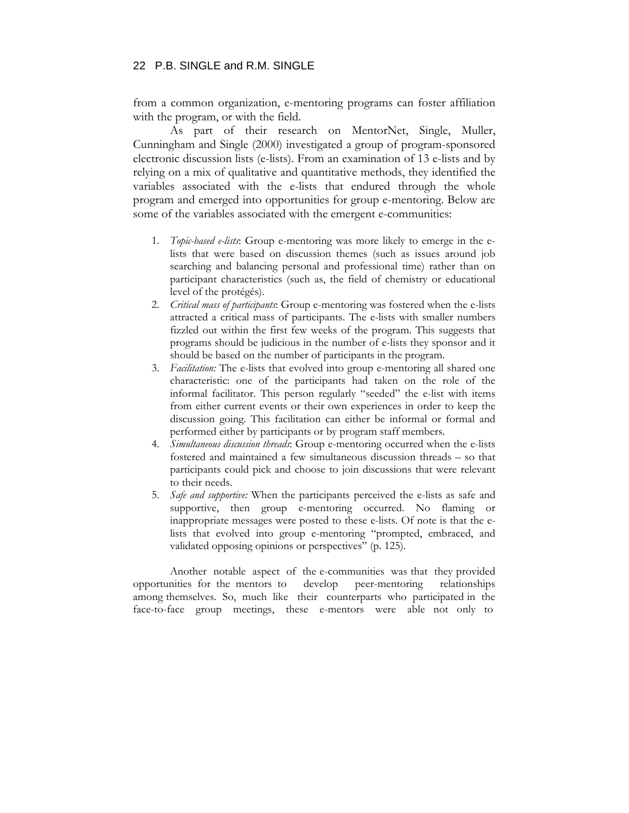from a common organization, e-mentoring programs can foster affiliation with the program, or with the field.

As part of their research on MentorNet, Single, Muller, Cunningham and Single (2000) investigated a group of program-sponsored electronic discussion lists (e-lists). From an examination of 13 e-lists and by relying on a mix of qualitative and quantitative methods, they identified the variables associated with the e-lists that endured through the whole program and emerged into opportunities for group e-mentoring. Below are some of the variables associated with the emergent e-communities:

- 1. *Topic-based e-lists*: Group e-mentoring was more likely to emerge in the elists that were based on discussion themes (such as issues around job searching and balancing personal and professional time) rather than on participant characteristics (such as, the field of chemistry or educational level of the protégés).
- 2. *Critical mass of participants*: Group e-mentoring was fostered when the e-lists attracted a critical mass of participants. The e-lists with smaller numbers fizzled out within the first few weeks of the program. This suggests that programs should be judicious in the number of e-lists they sponsor and it should be based on the number of participants in the program.
- 3. *Facilitation:* The e-lists that evolved into group e-mentoring all shared one characteristic: one of the participants had taken on the role of the informal facilitator. This person regularly "seeded" the e-list with items from either current events or their own experiences in order to keep the discussion going. This facilitation can either be informal or formal and performed either by participants or by program staff members.
- 4. *Simultaneous discussion threads*: Group e-mentoring occurred when the e-lists fostered and maintained a few simultaneous discussion threads – so that participants could pick and choose to join discussions that were relevant to their needs.
- 5. *Safe and supportive:* When the participants perceived the e-lists as safe and supportive, then group e-mentoring occurred. No flaming or inappropriate messages were posted to these e-lists. Of note is that the elists that evolved into group e-mentoring "prompted, embraced, and validated opposing opinions or perspectives" (p. 125).

Another notable aspect of the e-communities was that they provided opportunities for the mentors to develop peer-mentoring relationships among themselves. So, much like their counterparts who participated in the face-to-face group meetings, these e-mentors were able not only to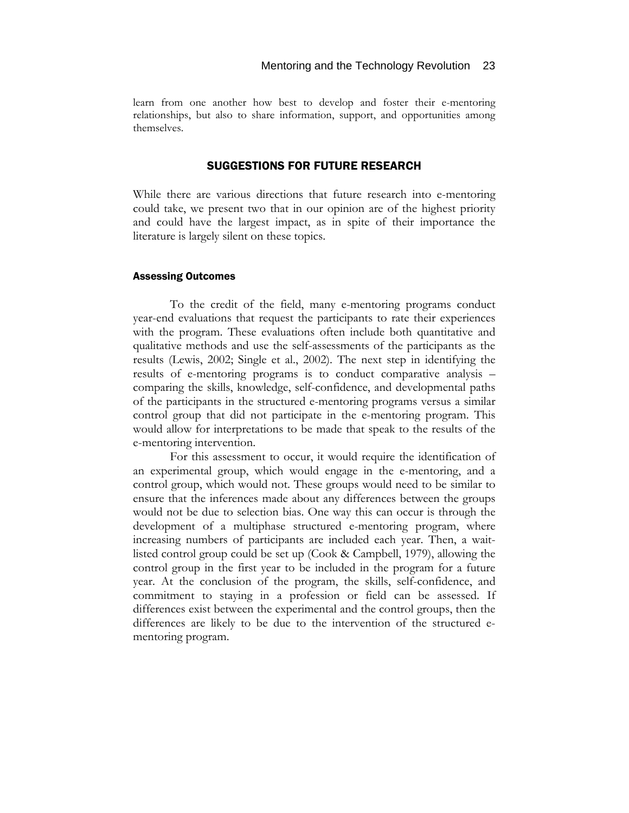learn from one another how best to develop and foster their e-mentoring relationships, but also to share information, support, and opportunities among themselves.

# SUGGESTIONS FOR FUTURE RESEARCH

While there are various directions that future research into e-mentoring could take, we present two that in our opinion are of the highest priority and could have the largest impact, as in spite of their importance the literature is largely silent on these topics.

#### Assessing Outcomes

To the credit of the field, many e-mentoring programs conduct year-end evaluations that request the participants to rate their experiences with the program. These evaluations often include both quantitative and qualitative methods and use the self-assessments of the participants as the results (Lewis, 2002; Single et al., 2002). The next step in identifying the results of e-mentoring programs is to conduct comparative analysis – comparing the skills, knowledge, self-confidence, and developmental paths of the participants in the structured e-mentoring programs versus a similar control group that did not participate in the e-mentoring program. This would allow for interpretations to be made that speak to the results of the e-mentoring intervention.

For this assessment to occur, it would require the identification of an experimental group, which would engage in the e-mentoring, and a control group, which would not. These groups would need to be similar to ensure that the inferences made about any differences between the groups would not be due to selection bias. One way this can occur is through the development of a multiphase structured e-mentoring program, where increasing numbers of participants are included each year. Then, a waitlisted control group could be set up (Cook & Campbell, 1979), allowing the control group in the first year to be included in the program for a future year. At the conclusion of the program, the skills, self-confidence, and commitment to staying in a profession or field can be assessed. If differences exist between the experimental and the control groups, then the differences are likely to be due to the intervention of the structured ementoring program.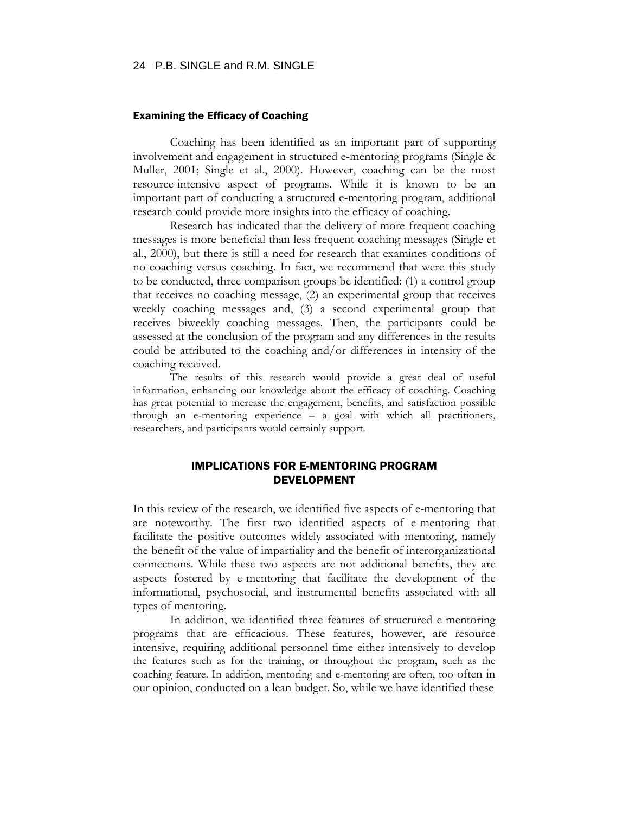#### Examining the Efficacy of Coaching

Coaching has been identified as an important part of supporting involvement and engagement in structured e-mentoring programs (Single & Muller, 2001; Single et al., 2000). However, coaching can be the most resource-intensive aspect of programs. While it is known to be an important part of conducting a structured e-mentoring program, additional research could provide more insights into the efficacy of coaching.

Research has indicated that the delivery of more frequent coaching messages is more beneficial than less frequent coaching messages (Single et al., 2000), but there is still a need for research that examines conditions of no-coaching versus coaching. In fact, we recommend that were this study to be conducted, three comparison groups be identified: (1) a control group that receives no coaching message, (2) an experimental group that receives weekly coaching messages and, (3) a second experimental group that receives biweekly coaching messages. Then, the participants could be assessed at the conclusion of the program and any differences in the results could be attributed to the coaching and/or differences in intensity of the coaching received.

The results of this research would provide a great deal of useful information, enhancing our knowledge about the efficacy of coaching. Coaching has great potential to increase the engagement, benefits, and satisfaction possible through an e-mentoring experience – a goal with which all practitioners, researchers, and participants would certainly support.

# IMPLICATIONS FOR E-MENTORING PROGRAM DEVELOPMENT

In this review of the research, we identified five aspects of e-mentoring that are noteworthy. The first two identified aspects of e-mentoring that facilitate the positive outcomes widely associated with mentoring, namely the benefit of the value of impartiality and the benefit of interorganizational connections. While these two aspects are not additional benefits, they are aspects fostered by e-mentoring that facilitate the development of the informational, psychosocial, and instrumental benefits associated with all types of mentoring.

In addition, we identified three features of structured e-mentoring programs that are efficacious. These features, however, are resource intensive, requiring additional personnel time either intensively to develop the features such as for the training, or throughout the program, such as the coaching feature. In addition, mentoring and e-mentoring are often, too often in our opinion, conducted on a lean budget. So, while we have identified these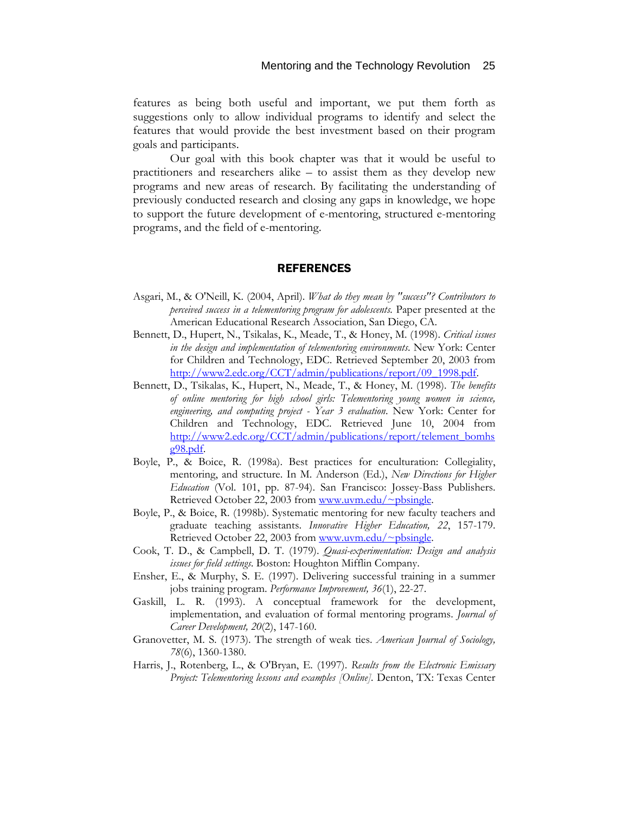features as being both useful and important, we put them forth as suggestions only to allow individual programs to identify and select the features that would provide the best investment based on their program goals and participants.

Our goal with this book chapter was that it would be useful to practitioners and researchers alike – to assist them as they develop new programs and new areas of research. By facilitating the understanding of previously conducted research and closing any gaps in knowledge, we hope to support the future development of e-mentoring, structured e-mentoring programs, and the field of e-mentoring.

#### **REFERENCES**

- Asgari, M., & O'Neill, K. (2004, April). *What do they mean by "success"? Contributors to perceived success in a telementoring program for adolescents.* Paper presented at the American Educational Research Association, San Diego, CA.
- Bennett, D., Hupert, N., Tsikalas, K., Meade, T., & Honey, M. (1998). *Critical issues in the design and implementation of telementoring environments*. New York: Center for Children and Technology, EDC. Retrieved September 20, 2003 from [http://www2.edc.org/CCT/admin/publications/report/09\\_1998.pdf.](http://www2.edc.org/CCT/admin/publications/report/09_1998.pdf)
- Bennett, D., Tsikalas, K., Hupert, N., Meade, T., & Honey, M. (1998). *The benefits of online mentoring for high school girls: Telementoring young women in science, engineering, and computing project - Year 3 evaluation*. New York: Center for Children and Technology, EDC. Retrieved June 10, 2004 from [http://www2.edc.org/CCT/admin/publications/report/telement\\_bomhs](http://www2.edc.org/CCT/admin/publications/report/telement_bomhsg98.pdf) [g98.pdf.](http://www2.edc.org/CCT/admin/publications/report/telement_bomhsg98.pdf)
- Boyle, P., & Boice, R. (1998a). Best practices for enculturation: Collegiality, mentoring, and structure. In M. Anderson (Ed.), *New Directions for Higher Education* (Vol. 101, pp. 87-94). San Francisco: Jossey-Bass Publishers. Retrieved October 22, 2003 from [www.uvm.edu/~pbsingle](http://www.uvm.edu/~pbsingle).
- Boyle, P., & Boice, R. (1998b). Systematic mentoring for new faculty teachers and graduate teaching assistants. *Innovative Higher Education, 22*, 157-179. Retrieved October 22, 2003 from [www.uvm.edu/~pbsingle](http://www.uvm.edu/~pbsingle).
- Cook, T. D., & Campbell, D. T. (1979). *Quasi-experimentation: Design and analysis issues for field settings*. Boston: Houghton Mifflin Company.
- Ensher, E., & Murphy, S. E. (1997). Delivering successful training in a summer jobs training program. *Performance Improvement, 36*(1), 22-27.
- Gaskill, L. R. (1993). A conceptual framework for the development, implementation, and evaluation of formal mentoring programs. *Journal of Career Development, 20*(2), 147-160.
- Granovetter, M. S. (1973). The strength of weak ties. *American Journal of Sociology, 78*(6), 1360-1380.
- Harris, J., Rotenberg, L., & O'Bryan, E. (1997). *Results from the Electronic Emissary Project: Telementoring lessons and examples [Online].* Denton, TX: Texas Center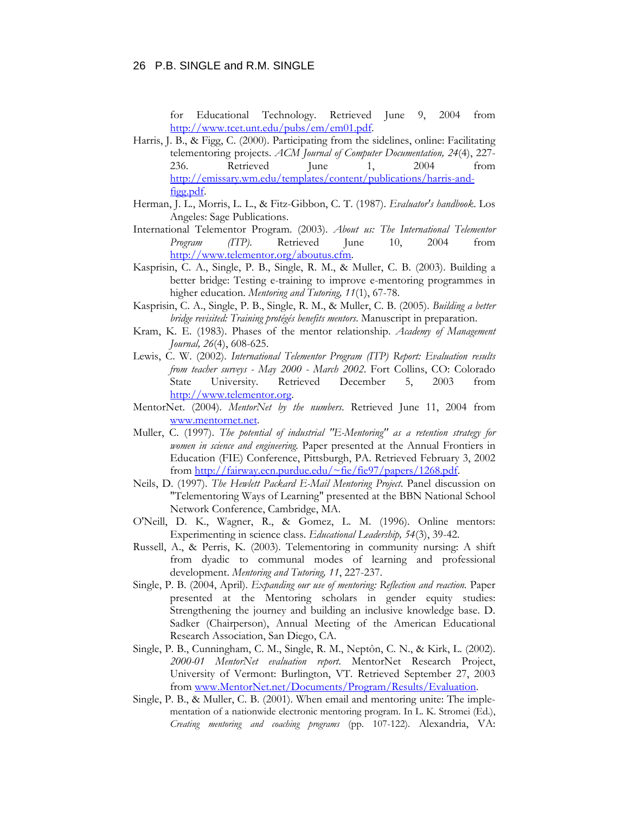for Educational Technology. Retrieved June 9, 2004 from [http://www.tcet.unt.edu/pubs/em/em01.pdf.](http://www.tcet.unt.edu/pubs/em/em01.pdf)

- Harris, J. B., & Figg, C. (2000). Participating from the sidelines, online: Facilitating telementoring projects. *ACM Journal of Computer Documentation, 24*(4), 227- 236. Retrieved June 1, 2004 from [http://emissary.wm.edu/templates/content/publications/harris-and](http://emissary.wm.edu/templates/content/publications/harris-and-figg.pdf)[figg.pdf.](http://emissary.wm.edu/templates/content/publications/harris-and-figg.pdf)
- Herman, J. L., Morris, L. L., & Fitz-Gibbon, C. T. (1987). *Evaluator's handbook*. Los Angeles: Sage Publications.
- International Telementor Program. (2003). *About us: The International Telementor Program (ITP)*. Retrieved June 10, 2004 from [http://www.telementor.org/aboutus.cfm.](http://www.telementor.org/aboutus.cfm)
- Kasprisin, C. A., Single, P. B., Single, R. M., & Muller, C. B. (2003). Building a better bridge: Testing e-training to improve e-mentoring programmes in higher education. *Mentoring and Tutoring, 11*(1), 67-78.
- Kasprisin, C. A., Single, P. B., Single, R. M., & Muller, C. B. (2005). *Building a better bridge revisited: Training protégés benefits mentors*. Manuscript in preparation.
- Kram, K. E. (1983). Phases of the mentor relationship. *Academy of Management Journal, 26*(4), 608-625.
- Lewis, C. W. (2002). *International Telementor Program (ITP) Report: Evaluation results from teacher surveys - May 2000 - March 2002*. Fort Collins, CO: Colorado State University. Retrieved December 5, 2003 from [http://www.telementor.org.](http://www.telementor.org/)
- MentorNet. (2004). *MentorNet by the numbers*. Retrieved June 11, 2004 from [www.mentornet.net](http://www.mentornet.net/).
- Muller, C. (1997). *The potential of industrial "E-Mentoring" as a retention strategy for women in science and engineering.* Paper presented at the Annual Frontiers in Education (FIE) Conference, Pittsburgh, PA. Retrieved February 3, 2002 from [http://fairway.ecn.purdue.edu/~fie/fie97/papers/1268.pdf.](http://fairway.ecn.purdue.edu/~fie/fie97/papers/1268.pdf)
- Neils, D. (1997). *The Hewlett Packard E-Mail Mentoring Project*. Panel discussion on "Telementoring Ways of Learning" presented at the BBN National School Network Conference, Cambridge, MA.
- O'Neill, D. K., Wagner, R., & Gomez, L. M. (1996). Online mentors: Experimenting in science class. *Educational Leadership, 54*(3), 39-42.
- Russell, A., & Perris, K. (2003). Telementoring in community nursing: A shift from dyadic to communal modes of learning and professional development. *Mentoring and Tutoring, 11*, 227-237.
- Single, P. B. (2004, April). *Expanding our use of mentoring: Reflection and reaction.* Paper presented at the Mentoring scholars in gender equity studies: Strengthening the journey and building an inclusive knowledge base. D. Sadker (Chairperson), Annual Meeting of the American Educational Research Association, San Diego, CA.
- Single, P. B., Cunningham, C. M., Single, R. M., Neptôn, C. N., & Kirk, L. (2002). *2000-01 MentorNet evaluation report*. MentorNet Research Project, University of Vermont: Burlington, VT. Retrieved September 27, 2003 from [www.MentorNet.net/Documents/Program/Results/Evaluation.](http://www.mentornet.net/Documents/Program/Results/Evaluation)
- Single, P. B., & Muller, C. B. (2001). When email and mentoring unite: The implementation of a nationwide electronic mentoring program. In L. K. Stromei (Ed.), *Creating mentoring and coaching programs* (pp. 107-122). Alexandria, VA: